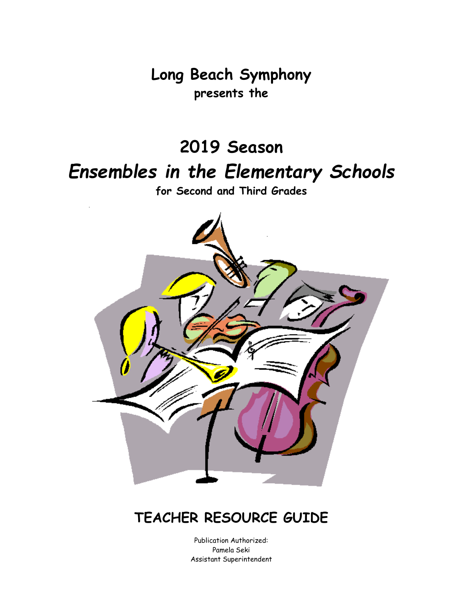**Long Beach Symphony presents the**

# **2019 Season** *Ensembles in the Elementary Schools*

**for Second and Third Grades**



### **TEACHER RESOURCE GUIDE**

Publication Authorized: Pamela Seki Assistant Superintendent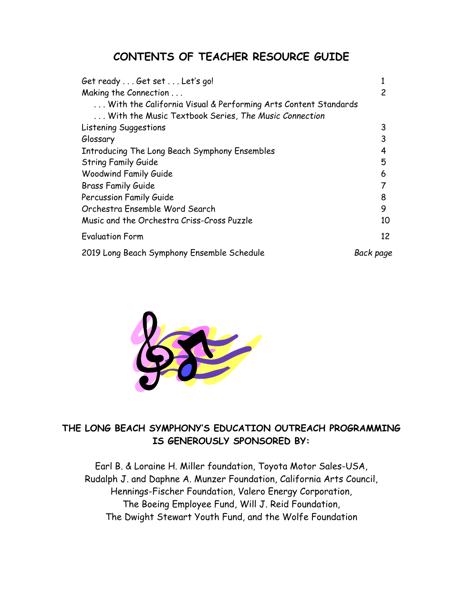### **CONTENTS OF TEACHER RESOURCE GUIDE**

| Get ready Get set Let's go!                                    |           |
|----------------------------------------------------------------|-----------|
| Making the Connection                                          | 2         |
| With the California Visual & Performing Arts Content Standards |           |
| With the Music Textbook Series, The Music Connection           |           |
| Listening Suggestions                                          | 3         |
| Glossary                                                       | 3         |
| Introducing The Long Beach Symphony Ensembles                  | 4         |
| <b>String Family Guide</b>                                     | 5         |
| <b>Woodwind Family Guide</b>                                   | 6         |
| <b>Brass Family Guide</b>                                      |           |
| Percussion Family Guide                                        | 8         |
| Orchestra Ensemble Word Search                                 | 9         |
| Music and the Orchestra Criss-Cross Puzzle                     | 10        |
| <b>Evaluation Form</b>                                         | 12        |
| 2019 Long Beach Symphony Ensemble Schedule                     | Back page |



### **THE LONG BEACH SYMPHONY'S EDUCATION OUTREACH PROGRAMMING IS GENEROUSLY SPONSORED BY:**

Earl B. & Loraine H. Miller foundation, Toyota Motor Sales-USA, Rudalph J. and Daphne A. Munzer Foundation, California Arts Council, Hennings-Fischer Foundation, Valero Energy Corporation, The Boeing Employee Fund, Will J. Reid Foundation, The Dwight Stewart Youth Fund, and the Wolfe Foundation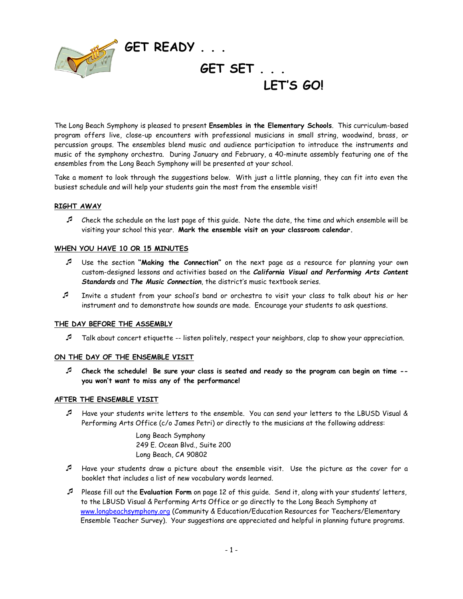

The Long Beach Symphony is pleased to present **Ensembles in the Elementary Schools**. This curriculum-based program offers live, close-up encounters with professional musicians in small string, woodwind, brass, or percussion groups. The ensembles blend music and audience participation to introduce the instruments and music of the symphony orchestra. During January and February, a 40-minute assembly featuring one of the ensembles from the Long Beach Symphony will be presented at your school.

Take a moment to look through the suggestions below. With just a little planning, they can fit into even the busiest schedule and will help your students gain the most from the ensemble visit!

#### **RIGHT AWAY**

 $\mathcal I$  Check the schedule on the last page of this guide. Note the date, the time and which ensemble will be visiting your school this year. **Mark the ensemble visit on your classroom calendar.**

#### **WHEN YOU HAVE 10 OR 15 MINUTES**

- Use the section **"Making the Connection"** on the next page as a resource for planning your own custom-designed lessons and activities based on the *California Visual and Performing Arts Content Standards* and *The Music Connection*, the district's music textbook series.
- Invite a student from your school's band or orchestra to visit your class to talk about his or her instrument and to demonstrate how sounds are made. Encourage your students to ask questions.

#### **THE DAY BEFORE THE ASSEMBLY**

Talk about concert etiquette -- listen politely, respect your neighbors, clap to show your appreciation.

#### **ON THE DAY OF THE ENSEMBLE VISIT**

 **Check the schedule! Be sure your class is seated and ready so the program can begin on time - you won't want to miss any of the performance!**

#### **AFTER THE ENSEMBLE VISIT**

 Have your students write letters to the ensemble. You can send your letters to the LBUSD Visual & Performing Arts Office (c/o James Petri) or directly to the musicians at the following address:

> Long Beach Symphony 249 E. Ocean Blvd., Suite 200 Long Beach, CA 90802

- Have your students draw a picture about the ensemble visit. Use the picture as the cover for a booklet that includes a list of new vocabulary words learned.
- Please fill out the **Evaluation Form** on page 12 of this guide. Send it, along with your students' letters, to the LBUSD Visual & Performing Arts Office or go directly to the Long Beach Symphony at [www.longbeachsymphony.org](http://www.longbeachsymphony.org/) (Community & Education/Education Resources for Teachers/Elementary Ensemble Teacher Survey). Your suggestions are appreciated and helpful in planning future programs.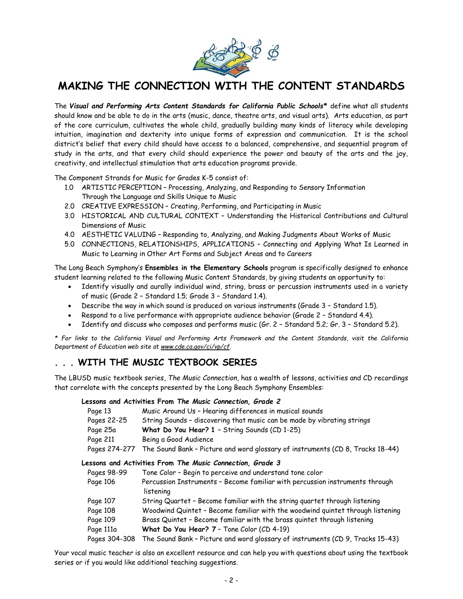

### **MAKING THE CONNECTION WITH THE CONTENT STANDARDS**

The *Visual and Performing Arts Content Standards for California Public Schools\** define what all students should know and be able to do in the arts (music, dance, theatre arts, and visual arts). Arts education, as part of the core curriculum, cultivates the whole child, gradually building many kinds of literacy while developing intuition, imagination and dexterity into unique forms of expression and communication. It is the school district's belief that every child should have access to a balanced, comprehensive, and sequential program of study in the arts, and that every child should experience the power and beauty of the arts and the joy, creativity, and intellectual stimulation that arts education programs provide.

The Component Strands for Music for Grades K-5 consist of:

- 1.0 ARTISTIC PERCEPTION Processing, Analyzing, and Responding to Sensory Information Through the Language and Skills Unique to Music
- 2.0 CREATIVE EXPRESSION Creating, Performing, and Participating in Music
- 3.0 HISTORICAL AND CULTURAL CONTEXT Understanding the Historical Contributions and Cultural Dimensions of Music
- 4.0 AESTHETIC VALUING Responding to, Analyzing, and Making Judgments About Works of Music
- 5.0 CONNECTIONS, RELATIONSHIPS, APPLICATIONS Connecting and Applying What Is Learned in Music to Learning in Other Art Forms and Subject Areas and to Careers

The Long Beach Symphony's **Ensembles in the Elementary Schools** program is specifically designed to enhance student learning related to the following Music Content Standards, by giving students an opportunity to:

- Identify visually and aurally individual wind, string, brass or percussion instruments used in a variety of music (Grade 2 – Standard 1.5; Grade 3 – Standard 1.4).
- Describe the way in which sound is produced on various instruments (Grade 3 Standard 1.5).
- Respond to a live performance with appropriate audience behavior (Grade 2 Standard 4.4).
- Identify and discuss who composes and performs music (Gr. 2 Standard 5.2; Gr. 3 Standard 5.2).

*\* For links to the California Visual and Performing Arts Framework and the Content Standards, visit the California Department of Education web site at www.cde.ca.gov/ci/vp/cf.*

### **. . . WITH THE MUSIC TEXTBOOK SERIES**

The LBUSD music textbook series, *The Music Connection*, has a wealth of lessons, activities and CD recordings that correlate with the concepts presented by the Long Beach Symphony Ensembles:

#### **Lessons and Activities From** *The Music Connection, Grade 2*

| Page 13       | Music Around Us - Hearing differences in musical sounds                        |
|---------------|--------------------------------------------------------------------------------|
| Pages 22-25   | String Sounds - discovering that music can be made by vibrating strings        |
| Page 25a      | What Do You Hear? 1 - String Sounds (CD 1-25)                                  |
| Page 211      | Being a Good Audience                                                          |
| Pages 274-277 | The Sound Bank - Picture and word glossary of instruments (CD 8, Tracks 18-44) |
|               |                                                                                |

**Lessons and Activities From** *The Music Connection, Grade 3*

| Pages 98-99   | Tone Color - Begin to perceive and understand tone color                                  |
|---------------|-------------------------------------------------------------------------------------------|
| Page 106      | Percussion Instruments - Become familiar with percussion instruments through<br>listening |
| Page 107      | String Quartet - Become familiar with the string quartet through listening                |
| Page 108      | Woodwind Quintet - Become familiar with the woodwind quintet through listening            |
| Page 109      | Brass Quintet - Become familiar with the brass quintet through listening                  |
| Page 111a     | What Do You Hear? 7 - Tone Color (CD 4-19)                                                |
| Pages 304-308 | The Sound Bank - Picture and word glossary of instruments (CD 9, Tracks 15-43)            |

Your vocal music teacher is also an excellent resource and can help you with questions about using the textbook series or if you would like additional teaching suggestions.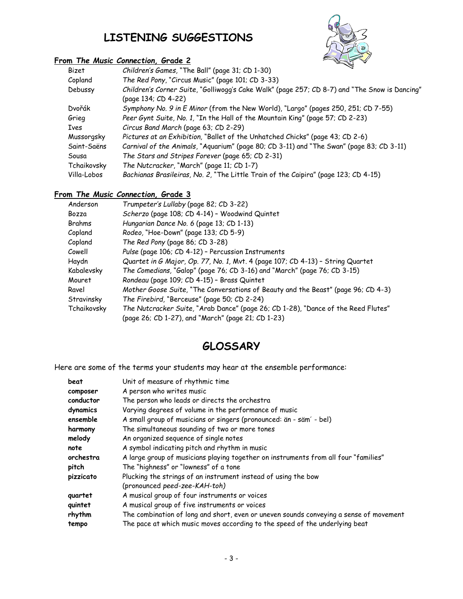### **LISTENING SUGGESTIONS**

#### **From** *The Music Connection,* **Grade 2**



| Bizet       | ベ<br>Children's Games, "The Ball" (page 31; CD 1-30)                                                                 |
|-------------|----------------------------------------------------------------------------------------------------------------------|
| Copland     | The Red Pony, "Circus Music" (page 101; CD 3-33)                                                                     |
| Debussy     | Children's Corner Suite, "Golliwogg's Cake Walk" (page 257; CD 8-7) and "The Snow is Dancing"<br>(page 134; CD 4-22) |
| Dvořák      | Symphony No. 9 in E Minor (from the New World), "Largo" (pages 250, 251; CD 7-55)                                    |
| Grieg       | Peer Gynt Suite, No. 1, "In the Hall of the Mountain King" (page 57; CD 2-23)                                        |
| Ives        | Circus Band March (page 63; CD 2-29)                                                                                 |
| Mussorgsky  | Pictures at an Exhibition, "Ballet of the Unhatched Chicks" (page 43; CD 2-6)                                        |
| Saint-Saëns | Carnival of the Animals, "Aquarium" (page 80; CD 3-11) and "The Swan" (page 83; CD 3-11)                             |
| Sousa       | The Stars and Stripes Forever (page 65; CD 2-31)                                                                     |
| Tchaikovsky | The Nutcracker, "March" (page 11; CD 1-7)                                                                            |
| Villa-Lobos | Bachianas Brasileiras, No. 2, "The Little Train of the Caipira" (page 123; CD 4-15)                                  |

#### **From** *The Music Connection,* **Grade 3**

| Anderson    | Trumpeter's Lullaby (page 82; CD 3-22)                                            |
|-------------|-----------------------------------------------------------------------------------|
| Bozza       | Scherzo (page 108; CD 4-14) - Woodwind Quintet                                    |
| Brahms      | Hungarian Dance No. 6 (page 13; CD 1-13)                                          |
| Copland     | Rodeo, "Hoe-Down" (page 133; CD 5-9)                                              |
| Copland     | The Red Pony (page 86; CD 3-28)                                                   |
| Cowell      | Pulse (page 106; CD 4-12) - Percussion Instruments                                |
| Haydn       | Quartet in G Major, Op. 77, No. 1, Mvt. 4 (page 107; CD 4-13) - String Quartet    |
| Kabalevsky  | The Comedians, "Galop" (page 76; CD 3-16) and "March" (page 76; CD 3-15)          |
| Mouret      | Rondeau (page 109; CD 4-15) - Brass Quintet                                       |
| Ravel       | Mother Goose Suite, "The Conversations of Beauty and the Beast" (page 96; CD 4-3) |
| Stravinsky  | The Firebird, "Berceuse" (page 50; CD 2-24)                                       |
| Tchaikovsky | The Nutcracker Suite, "Arab Dance" (page 26; CD 1-28), "Dance of the Reed Flutes" |
|             | (page 26; CD 1-27), and "March" (page 21; CD 1-23)                                |

### **GLOSSARY**

Here are some of the terms your students may hear at the ensemble performance:

| beat      | Unit of measure of rhythmic time                                                       |
|-----------|----------------------------------------------------------------------------------------|
| composer  | A person who writes music                                                              |
| conductor | The person who leads or directs the orchestra                                          |
| dynamics  | Varying degrees of volume in the performance of music                                  |
| ensemble  | A small group of musicians or singers (pronounced: än - säm' - bel)                    |
| harmony   | The simultaneous sounding of two or more tones                                         |
| melody    | An organized sequence of single notes                                                  |
| note      | A symbol indicating pitch and rhythm in music                                          |
| orchestra | A large group of musicians playing together on instruments from all four "families"    |
| pitch     | The "highness" or "lowness" of a tone                                                  |
| pizzicato | Plucking the strings of an instrument instead of using the bow                         |
|           | (pronounced peed-zee-KAH-toh)                                                          |
| quartet   | A musical group of four instruments or voices                                          |
| quintet   | A musical group of five instruments or voices                                          |
| rhythm    | The combination of long and short, even or uneven sounds conveying a sense of movement |
| tempo     | The pace at which music moves according to the speed of the underlying beat            |
|           |                                                                                        |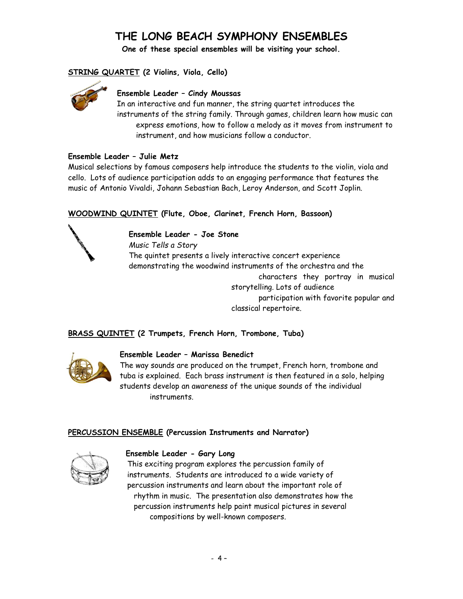### **THE LONG BEACH SYMPHONY ENSEMBLES**

**One of these special ensembles will be visiting your school.**

#### **STRING QUARTET (2 Violins, Viola, Cello)**



#### **Ensemble Leader – Cindy Moussas**

In an interactive and fun manner, the string quartet introduces the instruments of the string family. Through games, children learn how music can express emotions, how to follow a melody as it moves from instrument to instrument, and how musicians follow a conductor.

#### **Ensemble Leader – Julie Metz**

Musical selections by famous composers help introduce the students to the violin, viola and cello. Lots of audience participation adds to an engaging performance that features the music of Antonio Vivaldi, Johann Sebastian Bach, Leroy Anderson, and Scott Joplin.

#### **WOODWIND QUINTET (Flute, Oboe, Clarinet, French Horn, Bassoon)**



#### **Ensemble Leader - Joe Stone**

*Music Tells a Story* The quintet presents a lively interactive concert experience demonstrating the woodwind instruments of the orchestra and the characters they portray in musical storytelling. Lots of audience participation with favorite popular and classical repertoire.

#### **BRASS QUINTET (2 Trumpets, French Horn, Trombone, Tuba)**



#### **Ensemble Leader – Marissa Benedict**

The way sounds are produced on the trumpet, French horn, trombone and tuba is explained. Each brass instrument is then featured in a solo, helping students develop an awareness of the unique sounds of the individual instruments.

#### **PERCUSSION ENSEMBLE (Percussion Instruments and Narrator)**



#### **Ensemble Leader - Gary Long**

 This exciting program explores the percussion family of instruments. Students are introduced to a wide variety of percussion instruments and learn about the important role of rhythm in music. The presentation also demonstrates how the percussion instruments help paint musical pictures in several compositions by well-known composers.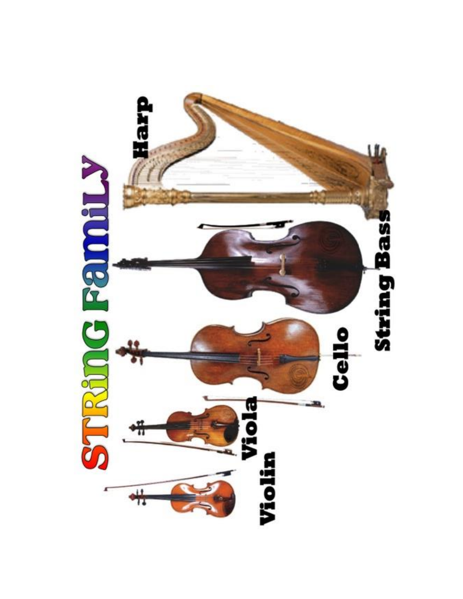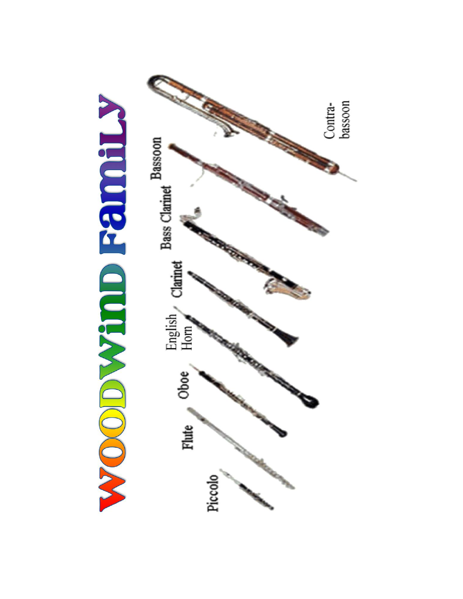

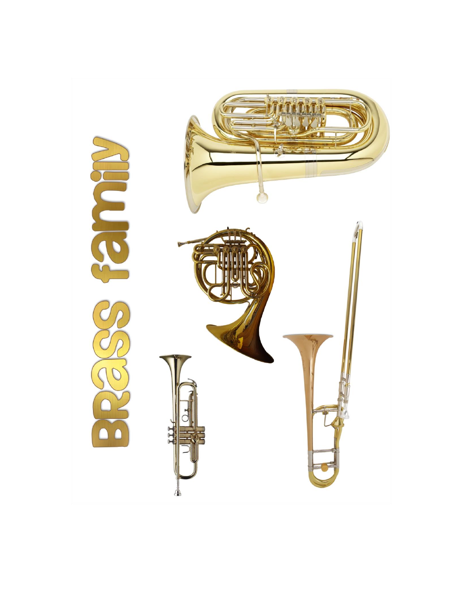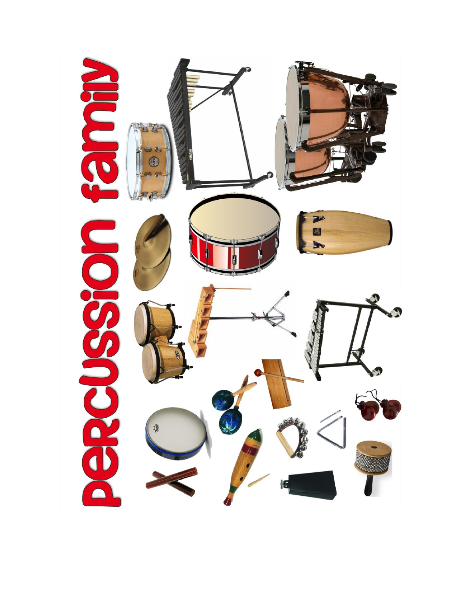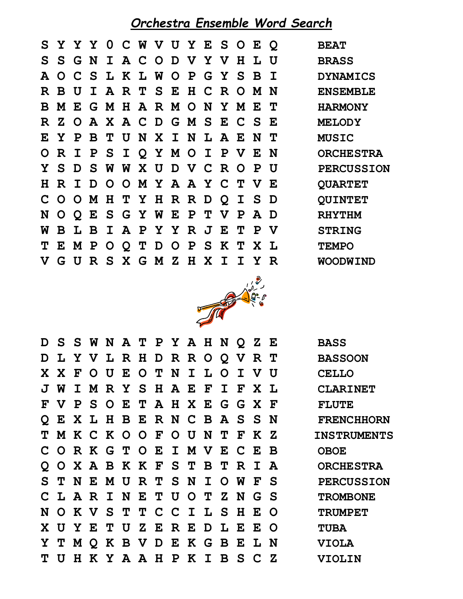### *Orchestra Ensemble Word Search*

|  |  |  |  | SYYY 0 C W V U Y E S O E Q    |  |  |  | <b>BEAT</b>    |
|--|--|--|--|-------------------------------|--|--|--|----------------|
|  |  |  |  | S S G N I A C O D V Y V H L U |  |  |  | <b>BRASS</b>   |
|  |  |  |  | A O C S L K L W O P G Y S B I |  |  |  | <b>DYNAMIC</b> |
|  |  |  |  | R B U I A R T S E H C R O M N |  |  |  | <b>ENSEMBL</b> |
|  |  |  |  | B M E G M H A R M O N Y M E T |  |  |  | <b>HARMONY</b> |
|  |  |  |  | R Z O A X A C D G M S E C S E |  |  |  | <b>MELODY</b>  |
|  |  |  |  | E Y P B T U N X I N L A E N T |  |  |  | <b>MUSIC</b>   |
|  |  |  |  | ORIPSIQYMOIPVEN               |  |  |  | <b>ORCHEST</b> |
|  |  |  |  | Y S D S W W X U D V C R O P U |  |  |  | <b>PERCUSS</b> |
|  |  |  |  | H R I D O O M Y A A Y C T V E |  |  |  | <b>QUARTET</b> |
|  |  |  |  | COOMHTYHRRDQISD               |  |  |  | <b>QUINTET</b> |
|  |  |  |  | NOQESGYWEPTVPAD               |  |  |  | <b>RHYTHM</b>  |
|  |  |  |  | W B L B I A P Y Y R J E T P V |  |  |  | <b>STRING</b>  |
|  |  |  |  | TEMPOQTDOPSKTXL               |  |  |  | <b>TEMPO</b>   |
|  |  |  |  | V G U R S X G M Z H X I I Y R |  |  |  | <b>WOODWIN</b> |





|     |  |  |  | D S S W N A T P Y A H N Q Z E |  |  | <b>BASS</b>     |
|-----|--|--|--|-------------------------------|--|--|-----------------|
|     |  |  |  | D L Y V L R H D R R O Q V R T |  |  | <b>BASSOON</b>  |
|     |  |  |  | X X F O U E O T N I L O I V U |  |  | <b>CELLO</b>    |
|     |  |  |  | J W I M R Y S H A E F I F X L |  |  | <b>CLARINE</b>  |
|     |  |  |  | F V P S O E T A H X E G G X F |  |  | <b>FLUTE</b>    |
|     |  |  |  | Q E X L H B E R N C B A S S N |  |  | <b>FRENCHH</b>  |
|     |  |  |  | T M K C K O O F O U N T F K Z |  |  | <b>INSTRUME</b> |
|     |  |  |  | CORKGTOEIMVECEB               |  |  | <b>OBOE</b>     |
|     |  |  |  | Q O X A B K K F S T B T R I A |  |  | <b>ORCHEST</b>  |
|     |  |  |  | S T N E M U R T S N I O W F S |  |  | <b>PERCUSS</b>  |
|     |  |  |  | CLARINETUOTZNGS               |  |  | <b>TROMBON</b>  |
|     |  |  |  | N O K V S T T C C I L S H E O |  |  | <b>TRUMPET</b>  |
|     |  |  |  | X U Y E T U Z E R E D L E E O |  |  | <b>TUBA</b>     |
|     |  |  |  | Y T M Q K B V D E K G B E L N |  |  | <b>VIOLA</b>    |
| T U |  |  |  | H K Y A A H P K I B S C Z     |  |  | <b>VIOLIN</b>   |

**D L Y V L R H D R R O Q V R T BASSOON J W I M R Y S H A E F I F X L CLARINET Q E X L H B E R N C B A S S N FRENCHHORN T M K C K O O F O U N T F K Z INSTRUMENTS Q O X A B K K F S T B T R I A ORCHESTRA**  $PERCUSSION$ **C L A R I N E T U O T Z N G S TROMBONE**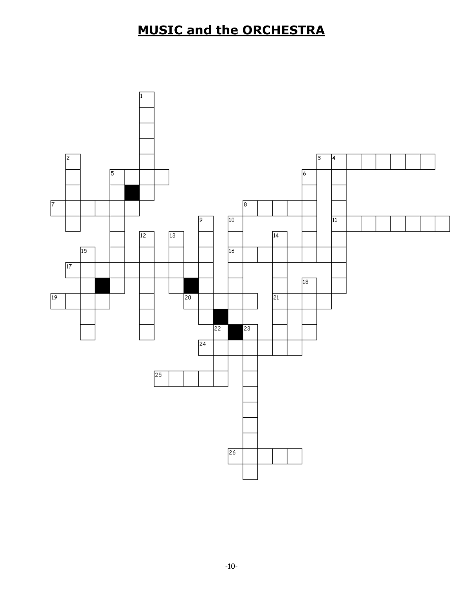### **MUSIC and the ORCHESTRA**

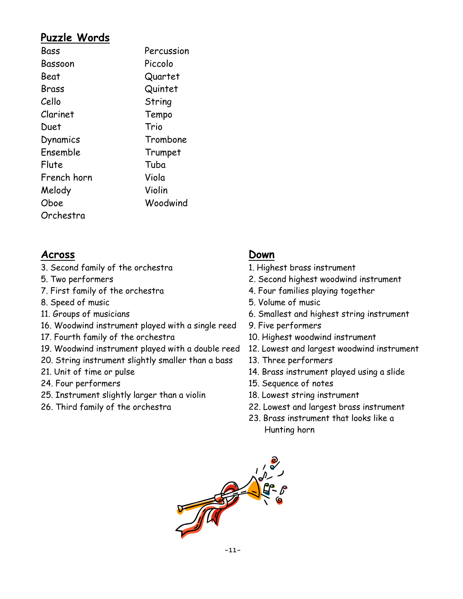### **Puzzle Words**

| Bass        | Percussion |
|-------------|------------|
| Bassoon     | Piccolo    |
| Beat        | Quartet    |
| Brass       | Quintet    |
| Cello       | String     |
| Clarinet    | Tempo      |
| Duet        | Trio       |
| Dynamics    | Trombone   |
| Ensemble    | Trumpet    |
| Flute       | Tuba       |
| French horn | Viola      |
| Melody      | Violin     |
| Oboe        | Woodwind   |
| Orchestra   |            |

### **Across Down**

- 3. Second family of the orchestra 1. Highest brass instrument
- 
- 
- 
- 
- 16. Woodwind instrument played with a single reed 9. Five performers
- 17. Fourth family of the orchestra 10. Highest woodwind instrument
- 19. Woodwind instrument played with a double reed 12. Lowest and largest woodwind instrument
- 20. String instrument slightly smaller than a bass 13. Three performers
- 
- 
- 25. Instrument slightly larger than a violin 18. Lowest string instrument
- 

- 
- 5. Two performers 2. Second highest woodwind instrument
- 7. First family of the orchestra 1. Four families playing together
- 8. Speed of music 6. Speed of music
- 11. Groups of musicians 6. Smallest and highest string instrument
	-
	-
	-
	-
- 21. Unit of time or pulse 14. Brass instrument played using a slide
- 24. Four performers 15. Sequence of notes
	-
- 26. Third family of the orchestra 22. Lowest and largest brass instrument
	- 23. Brass instrument that looks like a Hunting horn

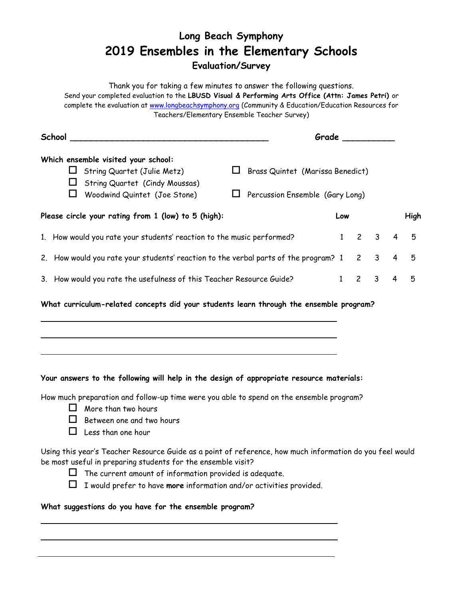### **Long Beach Symphony 2019 Ensembles in the Elementary Schools Evaluation/Survey**

Thank you for taking a few minutes to answer the following questions. Send your completed evaluation to the **LBUSD Visual & Performing Arts Office (Attn: James Petri)** or complete the evaluation at [www.longbeachsymphony.org](http://www.longbeachsymphony.org/) (Community & Education/Education Resources for Teachers/Elementary Ensemble Teacher Survey) **School \_\_\_\_\_\_\_\_\_\_\_\_\_\_\_\_\_\_\_\_\_\_\_\_\_\_\_\_\_\_\_\_\_\_\_\_\_\_ Grade \_\_\_\_\_\_\_\_\_\_ Which ensemble visited your school:**  $\Box$  String Quartet (Julie Metz)  $\Box$  Brass Quintet (Marissa Benedict)  $\Box$  String Quartet (Cindy Moussas)  $\Box$  Woodwind Quintet (Joe Stone)  $\Box$  Percussion Ensemble (Gary Long) **Please circle your rating from 1 (low) to 5 (high): Low High** 1. How would you rate your students' reaction to the music performed? 1 2 3 4 5 2. How would you rate your students' reaction to the verbal parts of the program? 1 2 3 4 5 3. How would you rate the usefulness of this Teacher Resource Guide? 1 2 3 4 5

**What curriculum-related concepts did your students learn through the ensemble program?**

#### **Your answers to the following will help in the design of appropriate resource materials:**

How much preparation and follow-up time were you able to spend on the ensemble program?

- $\Box$  More than two hours
- $\Box$  Between one and two hours
- $\Box$  Less than one hour

Using this year's Teacher Resource Guide as a point of reference, how much information do you feel would be most useful in preparing students for the ensemble visit?

- 
- $\Box$  The current amount of information provided is adequate.



I would prefer to have **more** information and/or activities provided.

#### **What suggestions do you have for the ensemble program?**